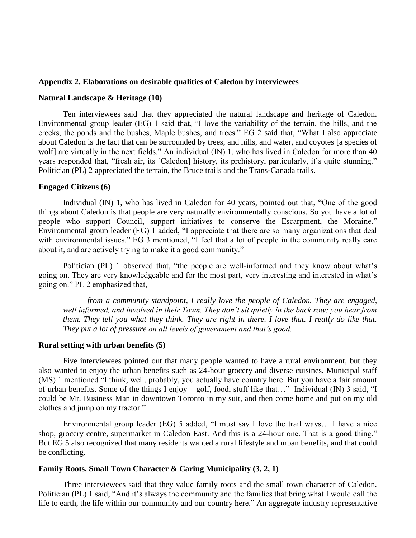### **Appendix 2. Elaborations on desirable qualities of Caledon by interviewees**

## **Natural Landscape & Heritage (10)**

Ten interviewees said that they appreciated the natural landscape and heritage of Caledon. Environmental group leader (EG) 1 said that, "I love the variability of the terrain, the hills, and the creeks, the ponds and the bushes, Maple bushes, and trees." EG 2 said that, "What I also appreciate about Caledon is the fact that can be surrounded by trees, and hills, and water, and coyotes [a species of wolf] are virtually in the next fields." An individual (IN) 1, who has lived in Caledon for more than 40 years responded that, "fresh air, its [Caledon] history, its prehistory, particularly, it's quite stunning." Politician (PL) 2 appreciated the terrain, the Bruce trails and the Trans-Canada trails.

### **Engaged Citizens (6)**

Individual (IN) 1, who has lived in Caledon for 40 years, pointed out that, "One of the good things about Caledon is that people are very naturally environmentally conscious. So you have a lot of people who support Council, support initiatives to conserve the Escarpment, the Moraine." Environmental group leader (EG) 1 added, "I appreciate that there are so many organizations that deal with environmental issues." EG 3 mentioned, "I feel that a lot of people in the community really care about it, and are actively trying to make it a good community."

Politician (PL) 1 observed that, "the people are well-informed and they know about what's going on. They are very knowledgeable and for the most part, very interesting and interested in what's going on." PL 2 emphasized that,

*from a community standpoint, I really love the people of Caledon. They are engaged, well informed, and involved in their Town. They don't sit quietly in the back row; you hear from them. They tell you what they think. They are right in there. I love that. I really do like that. They put a lot of pressure on all levels of government and that's good.*

## **Rural setting with urban benefits (5)**

Five interviewees pointed out that many people wanted to have a rural environment, but they also wanted to enjoy the urban benefits such as 24-hour grocery and diverse cuisines. Municipal staff (MS) 1 mentioned "I think, well, probably, you actually have country here. But you have a fair amount of urban benefits. Some of the things I enjoy – golf, food, stuff like that…" Individual (IN) 3 said, "I could be Mr. Business Man in downtown Toronto in my suit, and then come home and put on my old clothes and jump on my tractor."

Environmental group leader (EG) 5 added, "I must say I love the trail ways… I have a nice shop, grocery centre, supermarket in Caledon East. And this is a 24-hour one. That is a good thing." But EG 5 also recognized that many residents wanted a rural lifestyle and urban benefits, and that could be conflicting.

# **Family Roots, Small Town Character & Caring Municipality (3, 2, 1)**

Three interviewees said that they value family roots and the small town character of Caledon. Politician (PL) 1 said, "And it's always the community and the families that bring what I would call the life to earth, the life within our community and our country here." An aggregate industry representative